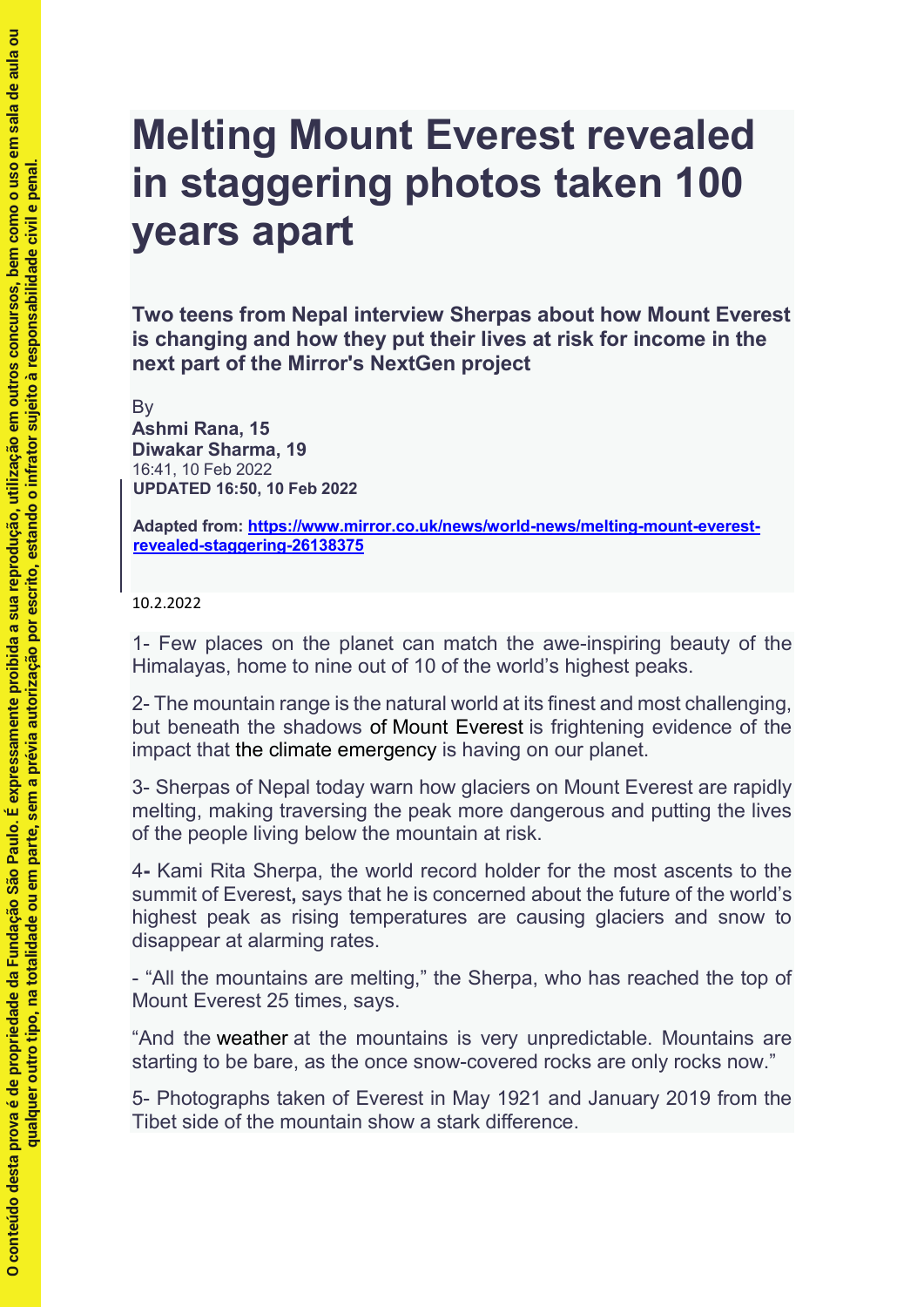## **Melting Mount Everest revealed in staggering photos taken 100 years apart**

**Two teens from Nepal interview Sherpas about how Mount Everest is changing and how they put their lives at risk for income in the next part of the Mirror's NextGen project**

**By** 

**Ashmi Rana, 15 Diwakar Sharma, 19** 16:41, 10 Feb 2022 **UPDATED 16:50, 10 Feb 2022**

**Adapted from: https://www.mirror.co.uk/news/world-news/melting-mount-everestrevealed-staggering-26138375**

10.2.2022

1- Few places on the planet can match the awe-inspiring beauty of the Himalayas, home to nine out of 10 of the world's highest peaks.

2- The mountain range is the natural world at its finest and most challenging, but beneath the shadows of Mount Everest is frightening evidence of the impact that the climate emergency is having on our planet.

3- Sherpas of Nepal today warn how glaciers on Mount Everest are rapidly melting, making traversing the peak more dangerous and putting the lives of the people living below the mountain at risk.

4**-** Kami Rita Sherpa, the world record holder for the most ascents to the summit of Everest**,** says that he is concerned about the future of the world's highest peak as rising temperatures are causing glaciers and snow to disappear at alarming rates.

- "All the mountains are melting," the Sherpa, who has reached the top of Mount Everest 25 times, says.

"And the weather at the mountains is very unpredictable. Mountains are starting to be bare, as the once snow-covered rocks are only rocks now."

5- Photographs taken of Everest in May 1921 and January 2019 from the Tibet side of the mountain show a stark difference.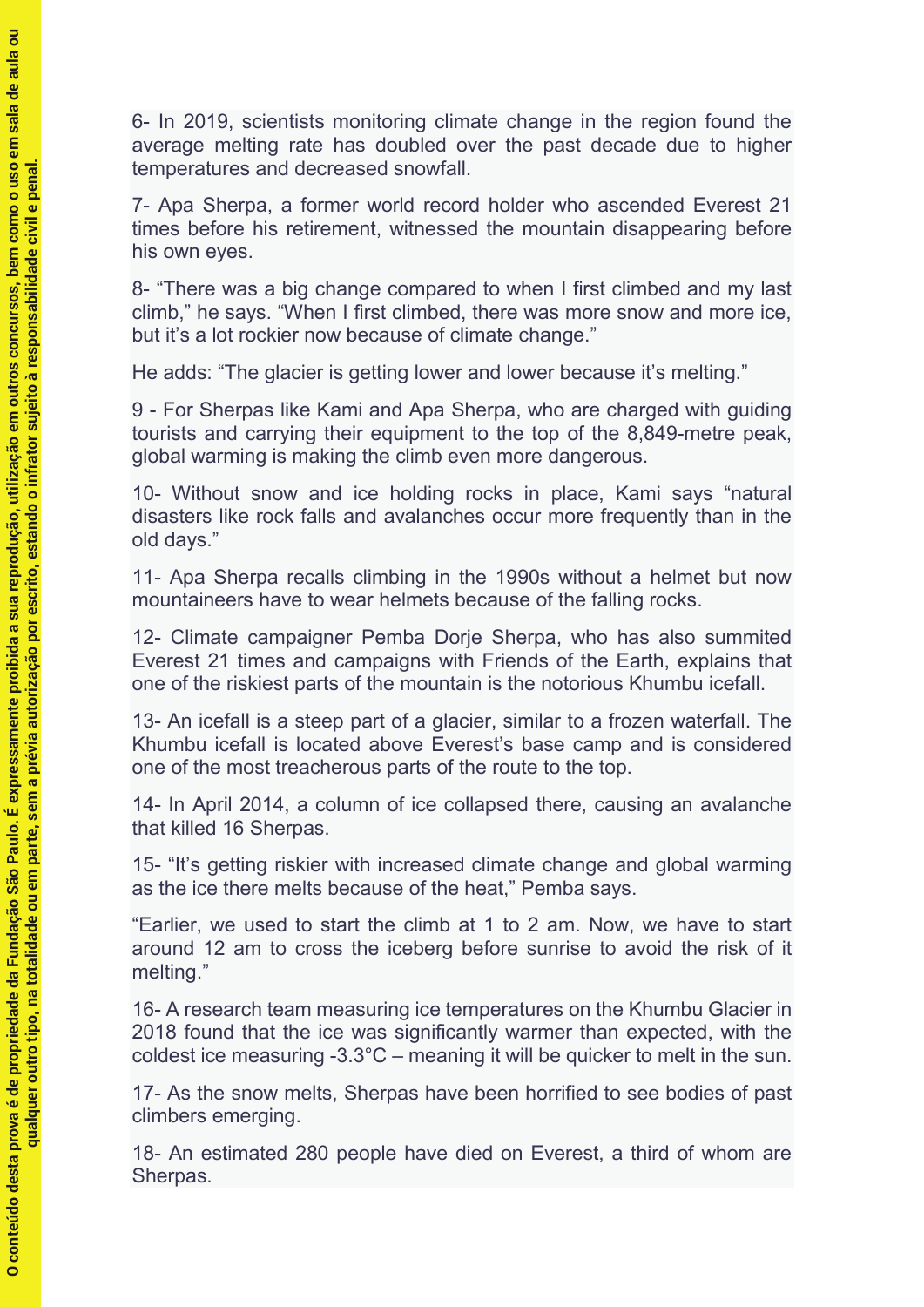6- In 2019, scientists monitoring climate change in the region found the average melting rate has doubled over the past decade due to higher temperatures and decreased snowfall.

7- Apa Sherpa, a former world record holder who ascended Everest 21 times before his retirement, witnessed the mountain disappearing before his own eyes.

8- "There was a big change compared to when I first climbed and my last climb," he says. "When I first climbed, there was more snow and more ice, but it's a lot rockier now because of climate change."

He adds: "The glacier is getting lower and lower because it's melting."

9 - For Sherpas like Kami and Apa Sherpa, who are charged with guiding tourists and carrying their equipment to the top of the 8,849-metre peak, global warming is making the climb even more dangerous.

10- Without snow and ice holding rocks in place, Kami says "natural disasters like rock falls and avalanches occur more frequently than in the old days."

11- Apa Sherpa recalls climbing in the 1990s without a helmet but now mountaineers have to wear helmets because of the falling rocks.

12- Climate campaigner Pemba Dorje Sherpa, who has also summited Everest 21 times and campaigns with Friends of the Earth, explains that one of the riskiest parts of the mountain is the notorious Khumbu icefall.

13- An icefall is a steep part of a glacier, similar to a frozen waterfall. The Khumbu icefall is located above Everest's base camp and is considered one of the most treacherous parts of the route to the top.

14- In April 2014, a column of ice collapsed there, causing an avalanche that killed 16 Sherpas.

15- "It's getting riskier with increased climate change and global warming as the ice there melts because of the heat," Pemba says.

"Earlier, we used to start the climb at 1 to 2 am. Now, we have to start around 12 am to cross the iceberg before sunrise to avoid the risk of it melting."

16- A research team measuring ice temperatures on the Khumbu Glacier in 2018 found that the ice was significantly warmer than expected, with the coldest ice measuring -3.3°C – meaning it will be quicker to melt in the sun.

17- As the snow melts, Sherpas have been horrified to see bodies of past climbers emerging.

18- An estimated 280 people have died on Everest, a third of whom are Sherpas.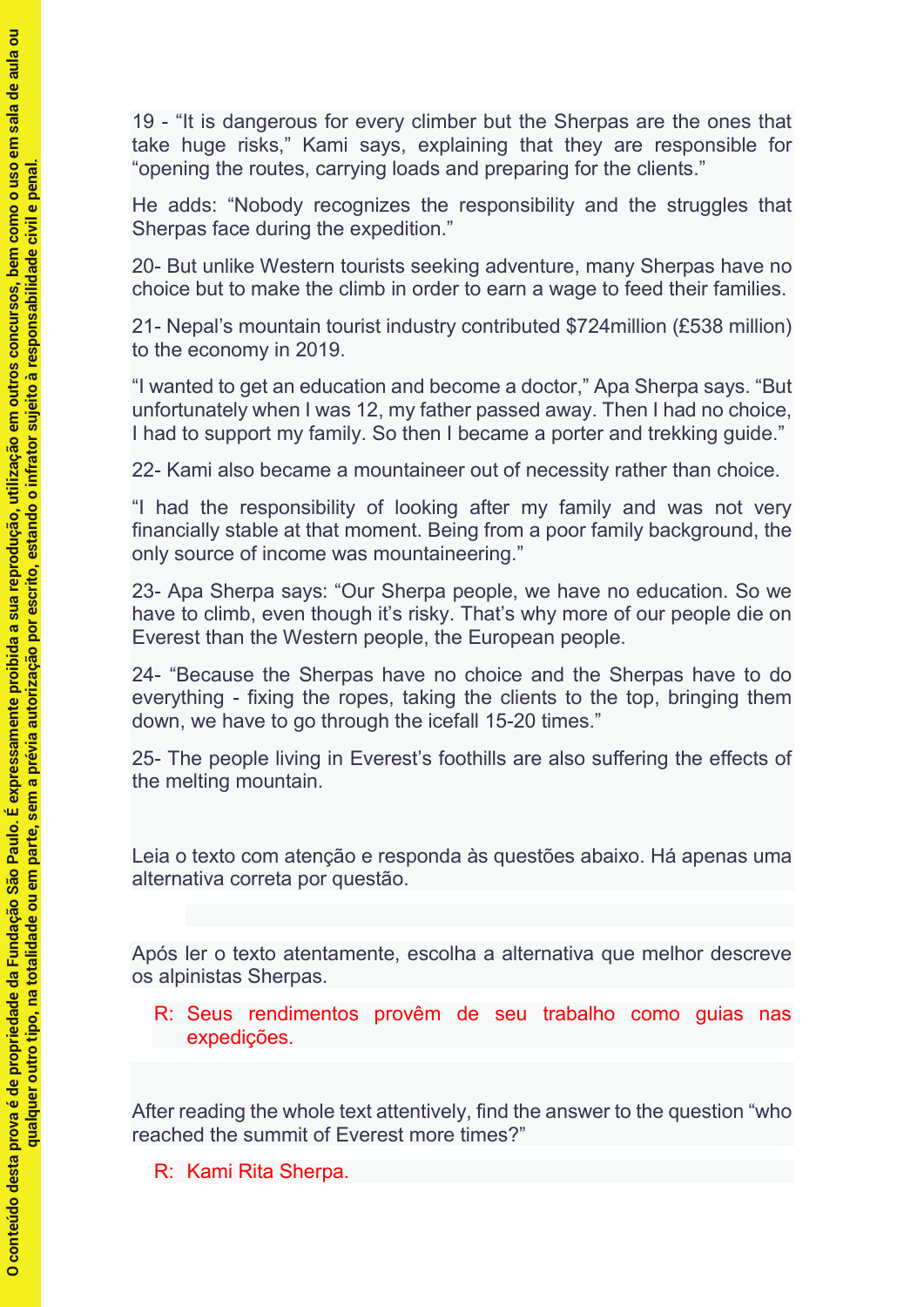19 - "It is dangerous for every climber but the Sherpas are the ones that take huge risks," Kami says, explaining that they are responsible for "opening the routes, carrying loads and preparing for the clients."

He adds: "Nobody recognizes the responsibility and the struggles that Sherpas face during the expedition."

20- But unlike Western tourists seeking adventure, many Sherpas have no choice but to make the climb in order to earn a wage to feed their families.

21- Nepal's mountain tourist industry contributed \$724million (£538 million) to the economy in 2019.

"I wanted to get an education and become a doctor," Apa Sherpa says. "But unfortunately when I was 12, my father passed away. Then I had no choice, I had to support my family. So then I became a porter and trekking guide."

22- Kami also became a mountaineer out of necessity rather than choice.

"I had the responsibility of looking after my family and was not very financially stable at that moment. Being from a poor family background, the only source of income was mountaineering."

23- Apa Sherpa says: "Our Sherpa people, we have no education. So we have to climb, even though it's risky. That's why more of our people die on Everest than the Western people, the European people.

24- "Because the Sherpas have no choice and the Sherpas have to do everything - fixing the ropes, taking the clients to the top, bringing them down, we have to go through the icefall 15-20 times."

25- The people living in Everest's foothills are also suffering the effects of the melting mountain.

Leia o texto com atenção e responda às questões abaixo. Há apenas uma alternativa correta por questão.

Após ler o texto atentamente, escolha a alternativa que melhor descreve os alpinistas Sherpas.

R: Seus rendimentos provêm de seu trabalho como guias nas expedições.

After reading the whole text attentively, find the answer to the question "who reached the summit of Everest more times?"

R: Kami Rita Sherpa.